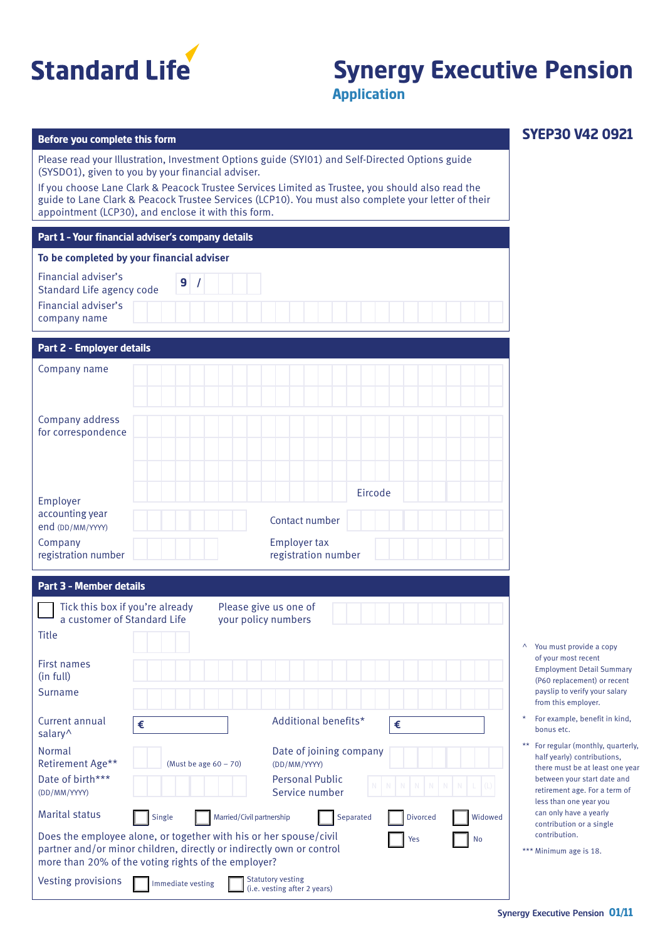

# **Synergy Executive Pension**

**SYEP30 V42 0921**

**Application**

### **Before you complete this form**

Please read your Illustration, Investment Options guide (SYI01) and Self-Directed Options guide (SYSDO1), given to you by your financial adviser.

If you choose Lane Clark & Peacock Trustee Services Limited as Trustee, you should also read the guide to Lane Clark & Peacock Trustee Services (LCP10). You must also complete your letter of their appointment (LCP30), and enclose it with this form.

#### **Part 1 – Your financial adviser's company details**

#### **To be completed by your financial adviser**

| Financial adviser's<br>Standard Life agency code |  |
|--------------------------------------------------|--|
| Financial adviser's<br>company name              |  |

## **Part 2 - Employer details**

| <b>Fail L'Andreuve Control Control Control Control Control Control Control Control Control Control Control Control Control Control Control Control Control Control Control Control Control Control Control Control Control Contr</b> |                                                  |
|--------------------------------------------------------------------------------------------------------------------------------------------------------------------------------------------------------------------------------------|--------------------------------------------------|
| Company name                                                                                                                                                                                                                         |                                                  |
| Company address<br>for correspondence                                                                                                                                                                                                |                                                  |
| Employer<br>accounting year<br>end (DD/MM/YYYY)<br>Company                                                                                                                                                                           | Eircode<br>Contact number<br><b>Employer tax</b> |
| registration number                                                                                                                                                                                                                  | registration number                              |

### **Part 3 – Member details**

| Tick this box if you're already<br>a customer of Standard Life                                                                                                                                                |                          | your policy numbers       | Please give us one of                                    |           |                 |                     |          |
|---------------------------------------------------------------------------------------------------------------------------------------------------------------------------------------------------------------|--------------------------|---------------------------|----------------------------------------------------------|-----------|-----------------|---------------------|----------|
| <b>Title</b>                                                                                                                                                                                                  |                          |                           |                                                          |           |                 |                     | $\wedge$ |
| <b>First names</b><br>(in full)                                                                                                                                                                               |                          |                           |                                                          |           |                 |                     |          |
| Surname                                                                                                                                                                                                       |                          |                           |                                                          |           |                 |                     |          |
| Current annual<br>salary <sup>^</sup>                                                                                                                                                                         | €                        |                           | Additional benefits*                                     |           | €               |                     | $\star$  |
| Normal<br>Retirement Age**                                                                                                                                                                                    | (Must be age $60 - 70$ ) |                           | Date of joining company<br>(DD/MM/YYYY)                  |           |                 |                     | $*$      |
| Date of birth***<br>(DD/MM/YYYY)                                                                                                                                                                              |                          |                           | <b>Personal Public</b><br>Service number                 |           | <b>N N N N</b>  | $\overline{N}$<br>N |          |
| <b>Marital status</b>                                                                                                                                                                                         | Single                   | Married/Civil partnership |                                                          | Separated | <b>Divorced</b> | Widowed             |          |
| Does the employee alone, or together with his or her spouse/civil<br>Yes<br>No<br>partner and/or minor children, directly or indirectly own or control<br>more than 20% of the voting rights of the employer? |                          |                           |                                                          |           |                 | $*1$                |          |
| <b>Vesting provisions</b>                                                                                                                                                                                     | Immediate vesting        |                           | <b>Statutory vesting</b><br>(i.e. vesting after 2 years) |           |                 |                     |          |

- You must provide a copy of your most recent Employment Detail Summary (P60 replacement) or recent payslip to verify your salary from this employer.
- For example, benefit in kind, bonus etc.
- For regular (monthly, quarterly, half yearly) contributions, there must be at least one year between your start date and retirement age. For a term of less than one year you can only have a yearly contribution or a single contribution.

|  | *** Minimum age is 18. |  |  |  |
|--|------------------------|--|--|--|
|--|------------------------|--|--|--|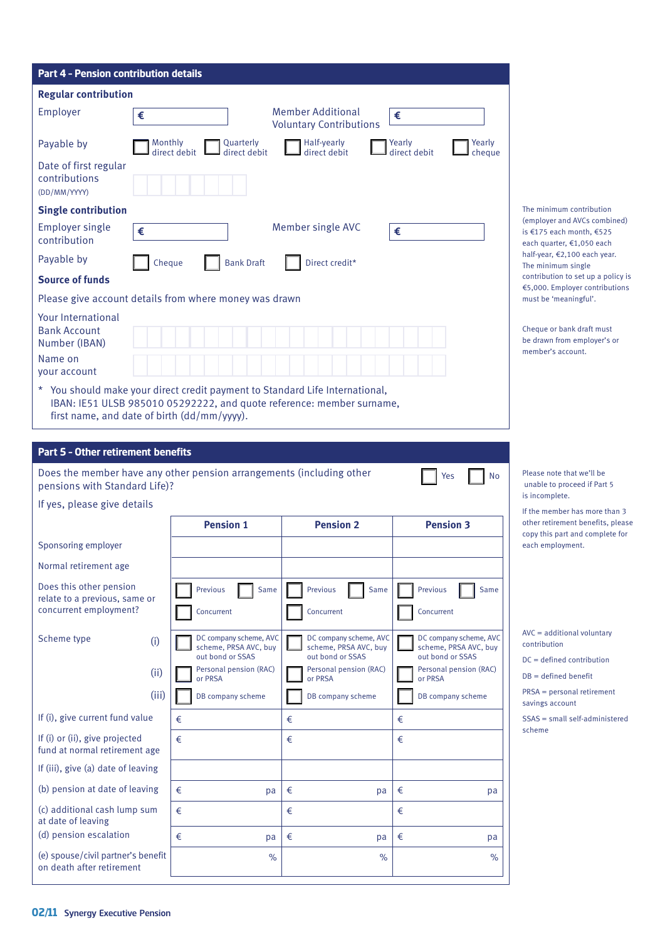| <b>Part 4 - Pension contribution details</b>                                                                                                                                                         |                                                                     |                                                                     |                                                                     |                                                                                                             |
|------------------------------------------------------------------------------------------------------------------------------------------------------------------------------------------------------|---------------------------------------------------------------------|---------------------------------------------------------------------|---------------------------------------------------------------------|-------------------------------------------------------------------------------------------------------------|
| <b>Regular contribution</b>                                                                                                                                                                          |                                                                     |                                                                     |                                                                     |                                                                                                             |
| Employer<br>€                                                                                                                                                                                        |                                                                     | <b>Member Additional</b><br><b>Voluntary Contributions</b>          | €                                                                   |                                                                                                             |
| Payable by<br>Monthly                                                                                                                                                                                | Quarterly<br>direct debit<br>direct debit                           | Half-yearly<br>direct debit                                         | Yearly<br>Yearly<br>direct debit<br>cheque                          |                                                                                                             |
| Date of first regular<br>contributions<br>(DD/MM/YYYY)                                                                                                                                               |                                                                     |                                                                     |                                                                     |                                                                                                             |
| <b>Single contribution</b>                                                                                                                                                                           |                                                                     |                                                                     |                                                                     | The minimum contribution                                                                                    |
| <b>Employer single</b><br>€<br>contribution                                                                                                                                                          |                                                                     | Member single AVC                                                   | €                                                                   | (employer and AVCs combined)<br>is €175 each month, €525<br>each quarter, €1,050 each                       |
| Payable by<br>Cheque                                                                                                                                                                                 | <b>Bank Draft</b>                                                   | Direct credit*                                                      |                                                                     | half-year, €2,100 each year.<br>The minimum single                                                          |
| <b>Source of funds</b>                                                                                                                                                                               |                                                                     |                                                                     |                                                                     | contribution to set up a policy is<br>€5,000. Employer contributions                                        |
| Please give account details from where money was drawn                                                                                                                                               |                                                                     |                                                                     |                                                                     | must be 'meaningful'.                                                                                       |
| <b>Your International</b><br><b>Bank Account</b><br>Number (IBAN)                                                                                                                                    |                                                                     |                                                                     |                                                                     | Cheque or bank draft must<br>be drawn from employer's or<br>member's account.                               |
| Name on<br>your account                                                                                                                                                                              |                                                                     |                                                                     |                                                                     |                                                                                                             |
| * You should make your direct credit payment to Standard Life International,<br>IBAN: IE51 ULSB 985010 05292222, and quote reference: member surname,<br>first name, and date of birth (dd/mm/yyyy). |                                                                     |                                                                     |                                                                     |                                                                                                             |
| Does the member have any other pension arrangements (including other<br>pensions with Standard Life)?<br>If yes, please give details                                                                 |                                                                     |                                                                     | No<br>Yes                                                           | Please note that we'll be<br>unable to proceed if Part 5<br>is incomplete.<br>If the member has more than 3 |
|                                                                                                                                                                                                      | <b>Pension 1</b>                                                    | <b>Pension 2</b>                                                    | <b>Pension 3</b>                                                    | other retirement benefits, pleas<br>copy this part and complete for                                         |
| Sponsoring employer                                                                                                                                                                                  |                                                                     |                                                                     |                                                                     | each employment.                                                                                            |
| Normal retirement age                                                                                                                                                                                |                                                                     |                                                                     |                                                                     |                                                                                                             |
| Does this other pension<br>relate to a previous, same or<br>concurrent employment?                                                                                                                   | Previous<br>Same<br>Concurrent                                      | Previous<br>Same<br>Concurrent                                      | Previous<br>Same<br>Concurrent                                      |                                                                                                             |
| Scheme type<br>(i)                                                                                                                                                                                   | DC company scheme, AVC<br>scheme, PRSA AVC, buy<br>out bond or SSAS | DC company scheme, AVC<br>scheme, PRSA AVC, buy<br>out bond or SSAS | DC company scheme, AVC<br>scheme, PRSA AVC, buy<br>out bond or SSAS | $AVC = additional voluntary$<br>contribution                                                                |
| (ii)                                                                                                                                                                                                 | Personal pension (RAC)<br>or PRSA                                   | Personal pension (RAC)<br>or PRSA                                   | Personal pension (RAC)<br>or PRSA                                   | $DC = defined$ contribution<br>$DB = defined benefit$                                                       |
| (iii)                                                                                                                                                                                                | DB company scheme                                                   | DB company scheme                                                   | DB company scheme                                                   | $PRSA = personal retirement$<br>savings account                                                             |
| If (i), give current fund value                                                                                                                                                                      | €                                                                   | €                                                                   | €                                                                   | SSAS = small self-administered                                                                              |
| If (i) or (ii), give projected<br>fund at normal retirement age                                                                                                                                      | €                                                                   | €                                                                   | €                                                                   | scheme                                                                                                      |
| If (iii), give (a) date of leaving                                                                                                                                                                   |                                                                     |                                                                     |                                                                     |                                                                                                             |
| (b) pension at date of leaving                                                                                                                                                                       | €<br>pa                                                             | €<br>pa                                                             | €<br>pa                                                             |                                                                                                             |
| (c) additional cash lump sum<br>at date of leaving                                                                                                                                                   | €                                                                   | €                                                                   | €                                                                   |                                                                                                             |
| (d) pension escalation                                                                                                                                                                               | €<br>pa                                                             | €<br>pa                                                             | €<br>pa                                                             |                                                                                                             |
|                                                                                                                                                                                                      |                                                                     |                                                                     |                                                                     |                                                                                                             |
| (e) spouse/civil partner's benefit<br>on death after retirement                                                                                                                                      | $\%$                                                                | $\%$                                                                | $\%$                                                                |                                                                                                             |

| $AVC = additional voluntary$ |
|------------------------------|
| contribution                 |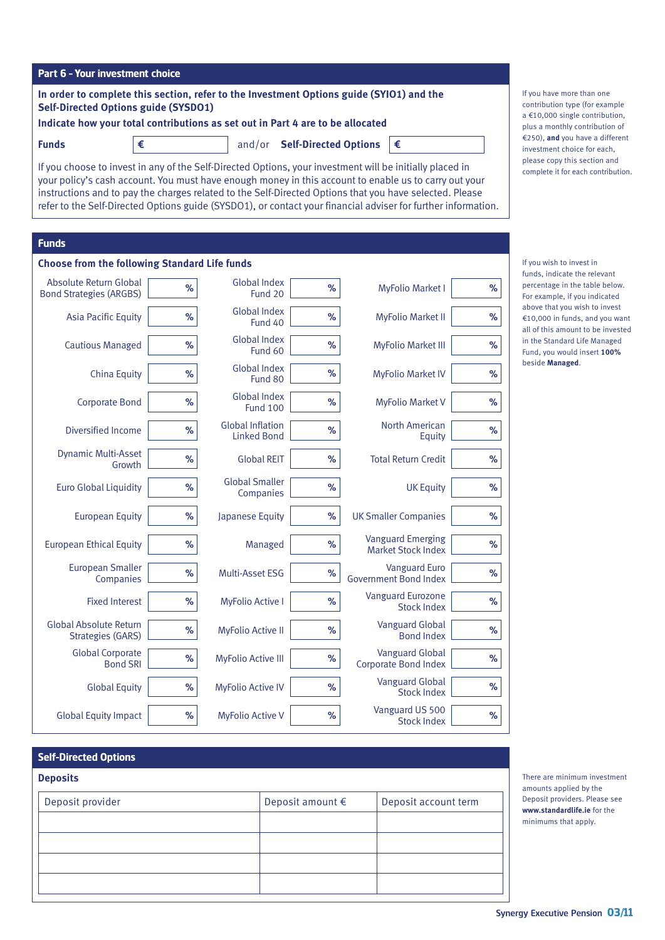|  | <b>Synergy Executive Pension 03/11</b> |  |  |  |
|--|----------------------------------------|--|--|--|
|--|----------------------------------------|--|--|--|

There are minimum investment amounts applied by the Deposit providers. Please see **www.standardlife.ie** for the minimums that apply.

| Part 6 - Your investment choice |  |  |
|---------------------------------|--|--|
|                                 |  |  |

**In order to complete this section, refer to the Investment Options guide (SYIO1) and the Self-Directed Options guide (SYSDO1)**

**Indicate how your total contributions as set out in Part 4 are to be allocated**

If you choose to invest in any of the Self-Directed Options, your investment will be initially placed in your policy's cash account. You must have enough money in this account to enable us to carry out your instructions and to pay the charges related to the Self-Directed Options that you have selected. Please refer to the Self-Directed Options guide (SYSDO1), or contact your financial adviser for further information.

**Funds €** and/or **Self-Directed Options €**

## **Funds**

| <b>Choose from the following Standard Life funds</b>      |      |                                               |      |                                                       |      |  |  |
|-----------------------------------------------------------|------|-----------------------------------------------|------|-------------------------------------------------------|------|--|--|
| Absolute Return Global<br><b>Bond Strategies (ARGBS)</b>  | %    | <b>Global Index</b><br>Fund 20                | %    | <b>MyFolio Market I</b>                               | $\%$ |  |  |
| <b>Asia Pacific Equity</b>                                | %    | <b>Global Index</b><br>Fund 40                | %    | <b>MyFolio Market II</b>                              | %    |  |  |
| <b>Cautious Managed</b>                                   | %    | <b>Global Index</b><br>Fund 60                | %    | <b>MyFolio Market III</b>                             | %    |  |  |
| China Equity                                              | %    | <b>Global Index</b><br>Fund 80                | $\%$ | <b>MyFolio Market IV</b>                              | %    |  |  |
| <b>Corporate Bond</b>                                     | %    | <b>Global Index</b><br><b>Fund 100</b>        | %    | <b>MyFolio Market V</b>                               | $\%$ |  |  |
| Diversified Income                                        | %    | <b>Global Inflation</b><br><b>Linked Bond</b> | %    | <b>North American</b><br>Equity                       | $\%$ |  |  |
| <b>Dynamic Multi-Asset</b><br>Growth                      | %    | <b>Global REIT</b>                            | %    | <b>Total Return Credit</b>                            | %    |  |  |
| <b>Euro Global Liquidity</b>                              | %    | <b>Global Smaller</b><br>Companies            | %    | <b>UK Equity</b>                                      | %    |  |  |
| <b>European Equity</b>                                    | %    | Japanese Equity                               | %    | <b>UK Smaller Companies</b>                           | %    |  |  |
| <b>European Ethical Equity</b>                            | %    | Managed                                       | %    | <b>Vanguard Emerging</b><br><b>Market Stock Index</b> | %    |  |  |
| <b>European Smaller</b><br>Companies                      | %    | Multi-Asset ESG                               | %    | <b>Vanguard Euro</b><br><b>Government Bond Index</b>  | %    |  |  |
| <b>Fixed Interest</b>                                     | $\%$ | <b>MyFolio Active I</b>                       | $\%$ | <b>Vanguard Eurozone</b><br><b>Stock Index</b>        | $\%$ |  |  |
| <b>Global Absolute Return</b><br><b>Strategies (GARS)</b> | %    | <b>MyFolio Active II</b>                      | %    | <b>Vanguard Global</b><br><b>Bond Index</b>           | $\%$ |  |  |
| <b>Global Corporate</b><br><b>Bond SRI</b>                | %    | <b>MyFolio Active III</b>                     | $\%$ | <b>Vanguard Global</b><br><b>Corporate Bond Index</b> | $\%$ |  |  |
| <b>Global Equity</b>                                      | %    | <b>MyFolio Active IV</b>                      | %    | <b>Vanguard Global</b><br><b>Stock Index</b>          | %    |  |  |
| <b>Global Equity Impact</b>                               | %    | <b>MyFolio Active V</b>                       | %    | Vanguard US 500<br><b>Stock Index</b>                 | %    |  |  |

| <b>Self-Directed Options</b> |                           |                      |
|------------------------------|---------------------------|----------------------|
| <b>Deposits</b>              |                           |                      |
| Deposit provider             | Deposit amount $\epsilon$ | Deposit account term |
|                              |                           |                      |
|                              |                           |                      |
|                              |                           |                      |
|                              |                           |                      |

If you have more than one contribution type (for example a €10,000 single contribution, plus a monthly contribution of €250), **and** you have a different investment choice for each, please copy this section and complete it for each contribution.

If you wish to invest in funds, indicate the relevant percentage in the table below. For example, if you indicated above that you wish to invest €10,000 in funds, and you want all of this amount to be invested in the Standard Life Managed Fund, you would insert **100%** beside **Managed**.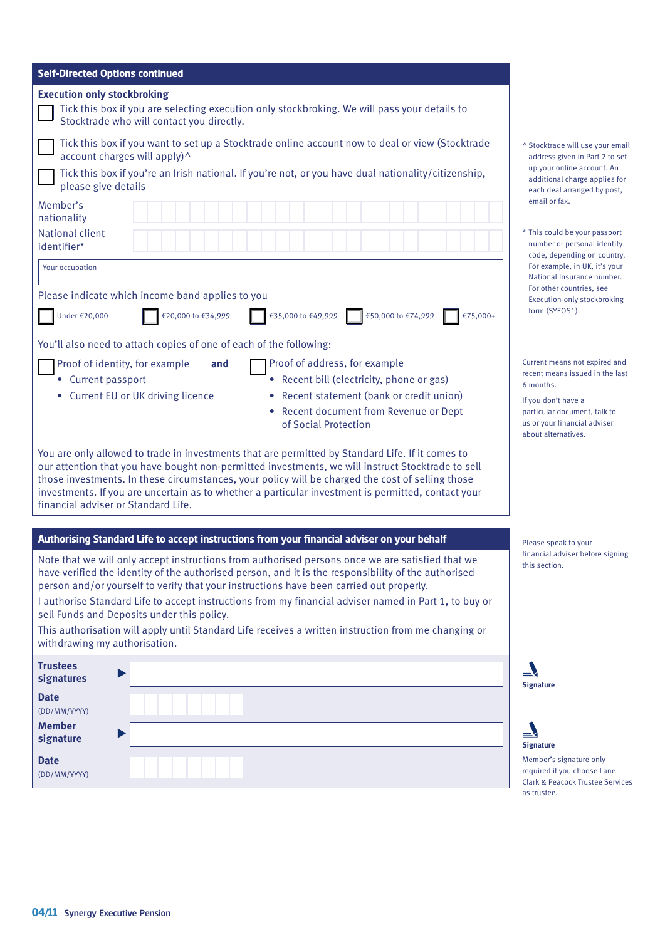| <b>Self-Directed Options continued</b>                                                                                                                                                                                                                                                                                                                                                                                                                                                                                                                            |                                                                        |
|-------------------------------------------------------------------------------------------------------------------------------------------------------------------------------------------------------------------------------------------------------------------------------------------------------------------------------------------------------------------------------------------------------------------------------------------------------------------------------------------------------------------------------------------------------------------|------------------------------------------------------------------------|
| <b>Execution only stockbroking</b><br>Tick this box if you are selecting execution only stockbroking. We will pass your details to<br>Stocktrade who will contact you directly.                                                                                                                                                                                                                                                                                                                                                                                   |                                                                        |
| Tick this box if you want to set up a Stocktrade online account now to deal or view (Stocktrade<br>account charges will apply)^<br>Tick this box if you're an Irish national. If you're not, or you have dual nationality/citizenship,                                                                                                                                                                                                                                                                                                                            | ^ Stocktrade \<br>address give<br>up your onli                         |
| please give details                                                                                                                                                                                                                                                                                                                                                                                                                                                                                                                                               | additional c<br>each deal ar                                           |
| Member's<br>nationality<br><b>National client</b>                                                                                                                                                                                                                                                                                                                                                                                                                                                                                                                 | email or fax.<br>* This could b                                        |
| identifier*                                                                                                                                                                                                                                                                                                                                                                                                                                                                                                                                                       | number or p<br>code, deper                                             |
| Your occupation                                                                                                                                                                                                                                                                                                                                                                                                                                                                                                                                                   | For example<br><b>National Ins</b>                                     |
| Please indicate which income band applies to you                                                                                                                                                                                                                                                                                                                                                                                                                                                                                                                  | For other co<br>Execution-of                                           |
| Under €20,000<br>€20,000 to €34,999<br>€35,000 to €49,999<br>€50,000 to €74,999<br>€75,000+                                                                                                                                                                                                                                                                                                                                                                                                                                                                       | form (SYEOS                                                            |
| You'll also need to attach copies of one of each of the following:                                                                                                                                                                                                                                                                                                                                                                                                                                                                                                |                                                                        |
| Proof of identity, for example<br>Proof of address, for example<br>and                                                                                                                                                                                                                                                                                                                                                                                                                                                                                            | <b>Current means</b><br>recent means                                   |
| • Current passport<br>• Recent bill (electricity, phone or gas)                                                                                                                                                                                                                                                                                                                                                                                                                                                                                                   | 6 months.                                                              |
| • Current EU or UK driving licence<br>Recent statement (bank or credit union)<br>Recent document from Revenue or Dept<br>of Social Protection                                                                                                                                                                                                                                                                                                                                                                                                                     | If you don't ha<br>particular doc<br>us or your fina<br>about alternat |
| You are only allowed to trade in investments that are permitted by Standard Life. If it comes to<br>our attention that you have bought non-permitted investments, we will instruct Stocktrade to sell<br>those investments. In these circumstances, your policy will be charged the cost of selling those<br>investments. If you are uncertain as to whether a particular investment is permitted, contact your<br>financial adviser or Standard Life.                                                                                                            |                                                                        |
| Authorising Standard Life to accept instructions from your financial adviser on your behalf                                                                                                                                                                                                                                                                                                                                                                                                                                                                       | Please speak                                                           |
| Note that we will only accept instructions from authorised persons once we are satisfied that we<br>have verified the identity of the authorised person, and it is the responsibility of the authorised<br>person and/or yourself to verify that your instructions have been carried out properly.<br>I authorise Standard Life to accept instructions from my financial adviser named in Part 1, to buy or<br>sell Funds and Deposits under this policy.<br>This authorisation will apply until Standard Life receives a written instruction from me changing or | financial advis<br>this section.                                       |
| withdrawing my authorisation.<br><b>Trustees</b>                                                                                                                                                                                                                                                                                                                                                                                                                                                                                                                  |                                                                        |
| signatures                                                                                                                                                                                                                                                                                                                                                                                                                                                                                                                                                        | <b>Signature</b>                                                       |
| <b>Date</b><br>(DD/MM/YYYY)                                                                                                                                                                                                                                                                                                                                                                                                                                                                                                                                       |                                                                        |
| <b>Member</b><br>signature                                                                                                                                                                                                                                                                                                                                                                                                                                                                                                                                        | <b>Signature</b>                                                       |
| <b>Date</b><br>(DD/MM/YYYY)                                                                                                                                                                                                                                                                                                                                                                                                                                                                                                                                       | Member's sign<br>required if you                                       |

- $\wedge$  Stocktrade will use your email address given in Part 2 to set up your online account. An additional charge applies for each deal arranged by post,<br>email or fax.
- \* This could be your passport number or personal identity code, depending on country. For example, in UK, it's your National Insurance number. For other countries, see Execution-only stockbroking form (SYEOS1).

Current means not expired and recent means issued in the last 6 months.

If you don't have a particular document, talk to us or your financial adviser about alternatives.

Please speak to your financial adviser before signing this section.





#### Member's signature only required if you choose Lane Clark & Peacock Trustee Services as trustee.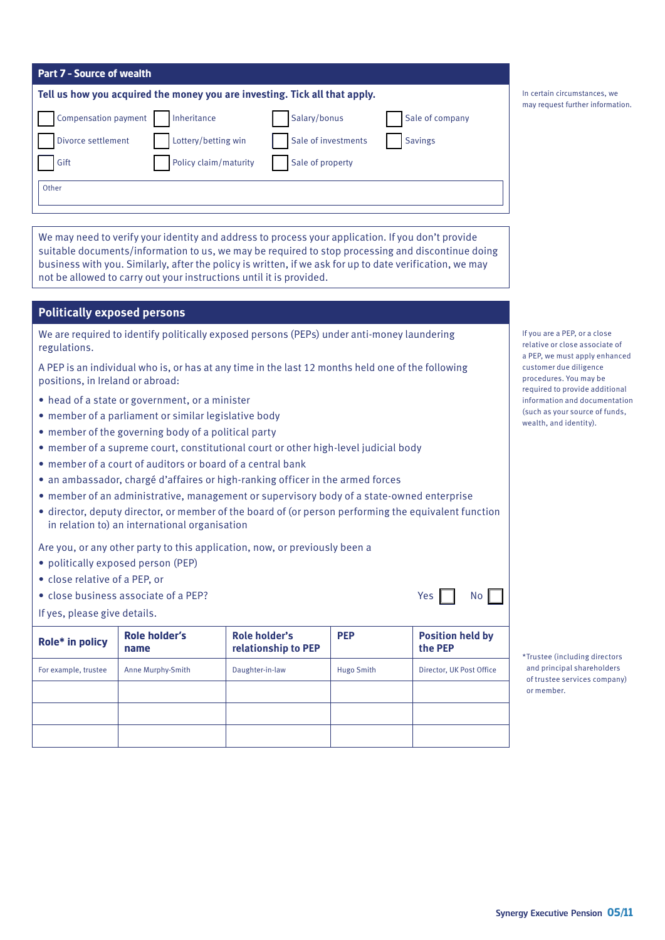| <b>Part 7 - Source of wealth</b>                                           |                     |                 |                                                                  |
|----------------------------------------------------------------------------|---------------------|-----------------|------------------------------------------------------------------|
| Tell us how you acquired the money you are investing. Tick all that apply. |                     |                 | In certain circumstances, we<br>may request further information. |
| Compensation payment<br>Inheritance                                        | Salary/bonus        | Sale of company |                                                                  |
| Lottery/betting win<br>Divorce settlement                                  | Sale of investments | <b>Savings</b>  |                                                                  |
| Policy claim/maturity<br>Gift                                              | Sale of property    |                 |                                                                  |
| Other                                                                      |                     |                 |                                                                  |
|                                                                            |                     |                 |                                                                  |

We may need to verify your identity and address to process your application. If you don't provide suitable documents/information to us, we may be required to stop processing and discontinue doing business with you. Similarly, after the policy is written, if we ask for up to date verification, we may not be allowed to carry out your instructions until it is provided.

## **Politically exposed persons**

We are required to identify politically exposed persons (PEPs) under anti-money laundering regulations.

A PEP is an individual who is, or has at any time in the last 12 months held one of the following positions, in Ireland or abroad:

- head of a state or government, or a minister
- member of a parliament or similar legislative body
- member of the governing body of a political party
- member of a supreme court, constitutional court or other high-level judicial body
- member of a court of auditors or board of a central bank
- an ambassador, chargé d'affaires or high-ranking officer in the armed forces
- member of an administrative, management or supervisory body of a state-owned enterprise
- director, deputy director, or member of the board of (or person performing the equivalent function in relation to) an international organisation

Are you, or any other party to this application, now, or previously been a

- politically exposed person (PEP)
- close relative of a PEP, or
- close business associate of a PEP?  $\blacksquare$  Yes  $\blacksquare$  No

If yes, please give details.

| Role* in policy      | <b>Role holder's</b><br>name | Role holder's<br>relationship to PEP | <b>PEP</b> | <b>Position held by</b><br>the PEP |
|----------------------|------------------------------|--------------------------------------|------------|------------------------------------|
| For example, trustee | Anne Murphy-Smith            | Daughter-in-law                      | Hugo Smith | Director, UK Post Office           |
|                      |                              |                                      |            |                                    |
|                      |                              |                                      |            |                                    |
|                      |                              |                                      |            |                                    |

If you are a PEP, or a close relative or close associate of a PEP, we must apply enhanced customer due diligence procedures. You may be required to provide additional information and documentation (such as your source of funds, wealth, and identity).

\*Trustee (including directors and principal shareholders of trustee services company) or member.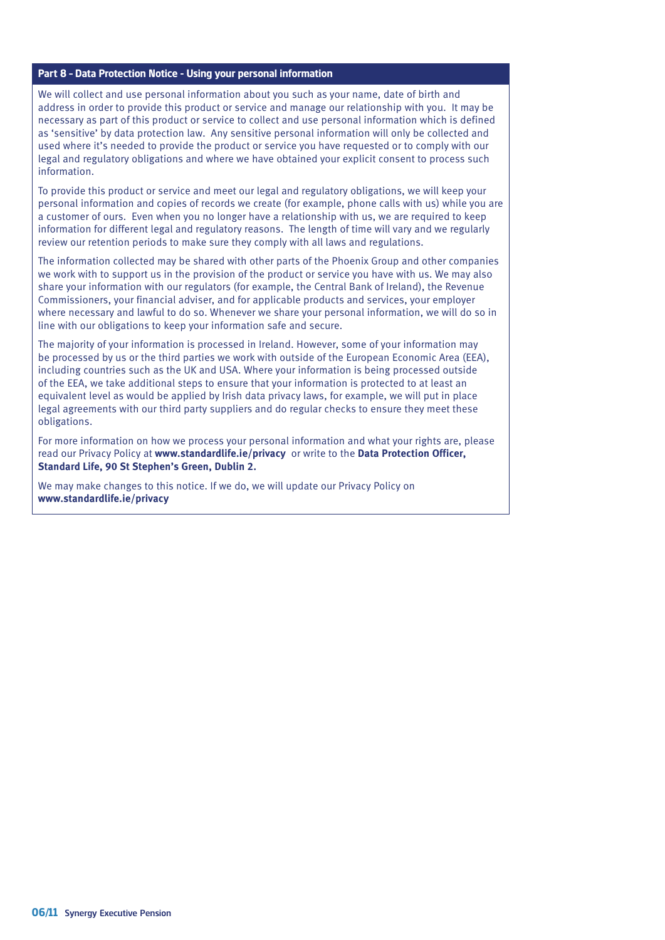### **Part 8 – Data Protection Notice - Using your personal information**

We will collect and use personal information about you such as your name, date of birth and address in order to provide this product or service and manage our relationship with you. It may be necessary as part of this product or service to collect and use personal information which is defined as 'sensitive' by data protection law. Any sensitive personal information will only be collected and used where it's needed to provide the product or service you have requested or to comply with our legal and regulatory obligations and where we have obtained your explicit consent to process such information.

To provide this product or service and meet our legal and regulatory obligations, we will keep your personal information and copies of records we create (for example, phone calls with us) while you are a customer of ours. Even when you no longer have a relationship with us, we are required to keep information for different legal and regulatory reasons. The length of time will vary and we regularly review our retention periods to make sure they comply with all laws and regulations.

The information collected may be shared with other parts of the Phoenix Group and other companies we work with to support us in the provision of the product or service you have with us. We may also share your information with our regulators (for example, the Central Bank of Ireland), the Revenue Commissioners, your financial adviser, and for applicable products and services, your employer where necessary and lawful to do so. Whenever we share your personal information, we will do so in line with our obligations to keep your information safe and secure.

The majority of your information is processed in Ireland. However, some of your information may be processed by us or the third parties we work with outside of the European Economic Area (EEA), including countries such as the UK and USA. Where your information is being processed outside of the EEA, we take additional steps to ensure that your information is protected to at least an equivalent level as would be applied by Irish data privacy laws, for example, we will put in place legal agreements with our third party suppliers and do regular checks to ensure they meet these obligations.

For more information on how we process your personal information and what your rights are, please read our Privacy Policy at **www.standardlife.ie/privacy** or write to the **Data Protection Officer, Standard Life, 90 St Stephen's Green, Dublin 2.**

We may make changes to this notice. If we do, we will update our Privacy Policy on **www.standardlife.ie/privacy**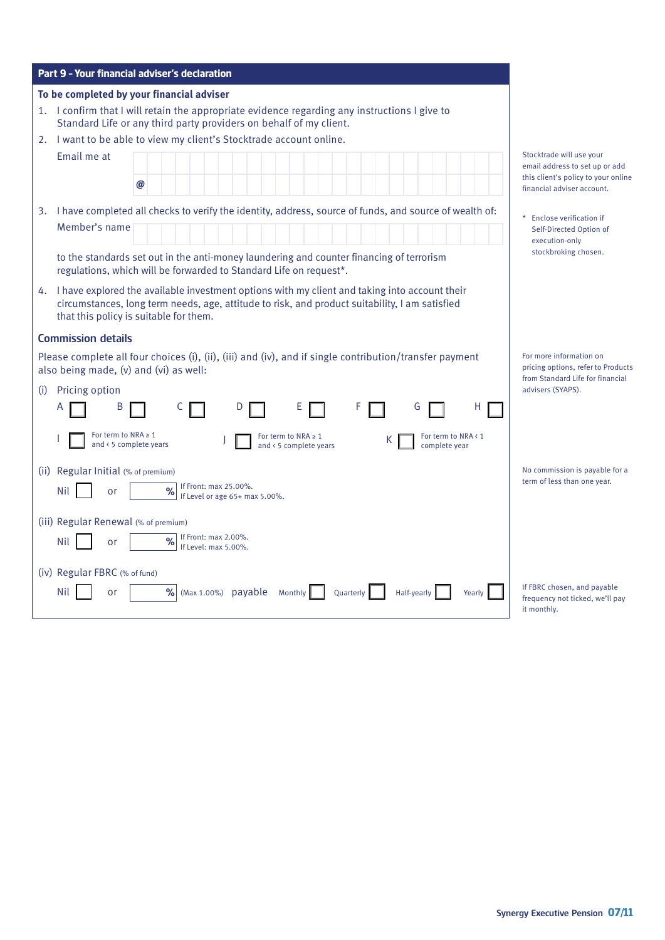| Part 9 - Your financial adviser's declaration                                                                                                                                                                                                |
|----------------------------------------------------------------------------------------------------------------------------------------------------------------------------------------------------------------------------------------------|
| To be completed by your financial adviser                                                                                                                                                                                                    |
| 1. I confirm that I will retain the appropriate evidence regarding any instructions I give to<br>Standard Life or any third party providers on behalf of my client.                                                                          |
| I want to be able to view my client's Stocktrade account online.<br>2.                                                                                                                                                                       |
| Email me at                                                                                                                                                                                                                                  |
| @                                                                                                                                                                                                                                            |
| 3. I have completed all checks to verify the identity, address, source of funds, and source of wealth of:                                                                                                                                    |
| Member's name                                                                                                                                                                                                                                |
|                                                                                                                                                                                                                                              |
| to the standards set out in the anti-money laundering and counter financing of terrorism<br>regulations, which will be forwarded to Standard Life on request*.                                                                               |
| 4. I have explored the available investment options with my client and taking into account their<br>circumstances, long term needs, age, attitude to risk, and product suitability, I am satisfied<br>that this policy is suitable for them. |
| <b>Commission details</b>                                                                                                                                                                                                                    |
| Please complete all four choices (i), (ii), (iii) and (iv), and if single contribution/transfer payment<br>also being made, (v) and (vi) as well:                                                                                            |
| Pricing option<br>(i)                                                                                                                                                                                                                        |
| F<br>B<br>D<br>G<br>H                                                                                                                                                                                                                        |
| For term to NRA $\geq 1$<br>For term to NRA $\geq 1$<br>For term to NRA < 1<br>К<br>and < 5 complete years<br>and < 5 complete years<br>complete year                                                                                        |
| (ii) Regular Initial (% of premium)                                                                                                                                                                                                          |
| If Front: max 25.00%.<br>$\frac{9}{6}$<br><b>Nil</b><br>or<br>If Level or age 65+ max 5.00%.                                                                                                                                                 |
| (iii) Regular Renewal (% of premium)                                                                                                                                                                                                         |
| If Front: max 2.00%.<br>Nil<br>or                                                                                                                                                                                                            |
| If Level: max 5.00%.                                                                                                                                                                                                                         |
| (iv) Regular FBRC (% of fund)                                                                                                                                                                                                                |
| Nil<br>%<br>(Max 1.00%) payable Monthly<br>Quarterly<br>Half-yearly<br>Yearly<br>or                                                                                                                                                          |

rade will use your address to set up or add ient's policy to your online ial adviser account.

lose verification if f-Directed Option of cution-only .<br>ckbroking chosen.

ore information on g options, refer to Products tandard Life for financial rs (SYAPS).

| No commission is payable for a |
|--------------------------------|
| term of less than one year.    |

I chosen, and payable ncy not ticked, we'll pay  $\overline{\text{th}}$ ly.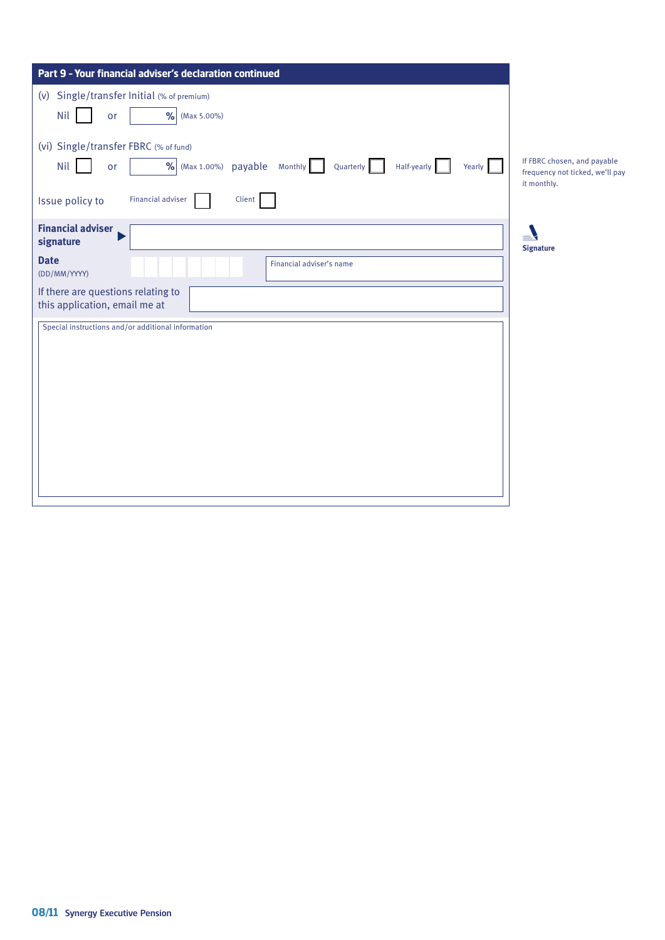| Part 9 - Your financial adviser's declaration continued                                                                                                                         |                                                                               |
|---------------------------------------------------------------------------------------------------------------------------------------------------------------------------------|-------------------------------------------------------------------------------|
| (v) Single/transfer Initial (% of premium)<br>$\frac{9}{6}$ (Max 5.00%)<br>Nil<br>or                                                                                            |                                                                               |
| (vi) Single/transfer FBRC (% of fund)<br>% (Max 1.00%) payable Monthly Quarterly<br>Nil<br>Half-yearly<br>Yearly<br>or<br><b>Financial adviser</b><br>Client<br>Issue policy to | If FBRC chosen, and payable<br>frequency not ticked, we'll pay<br>it monthly. |
| <b>Financial adviser</b><br>signature<br><b>Date</b><br>Financial adviser's name<br>(DD/MM/YYYY)<br>If there are questions relating to<br>this application, email me at         | $=$<br><b>Signature</b>                                                       |
| Special instructions and/or additional information                                                                                                                              |                                                                               |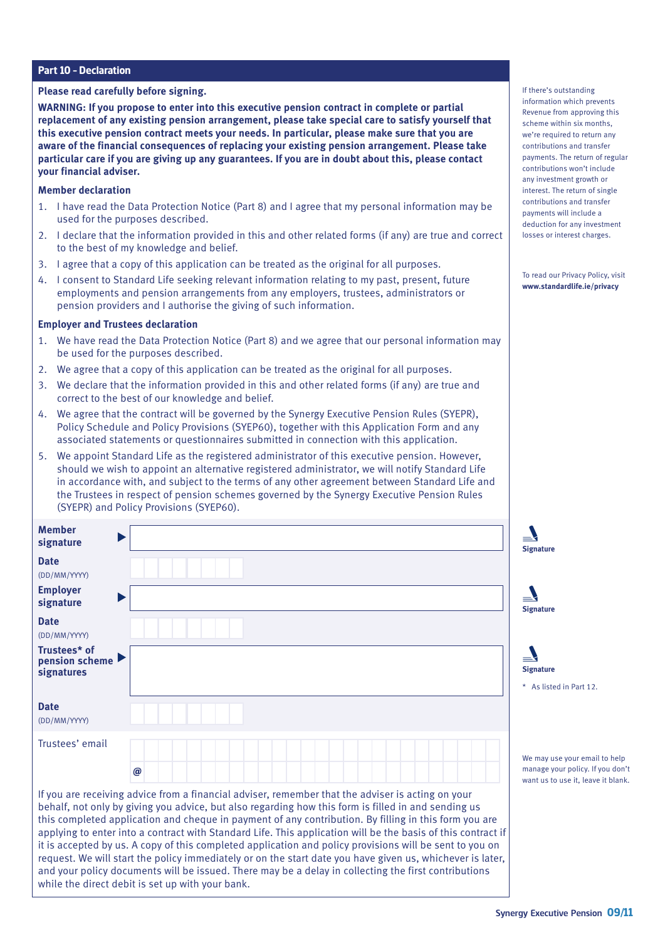## **Part 10 – Declaration**

#### **Please read carefully before signing.**

**WARNING: If you propose to enter into this executive pension contract in complete or partial replacement of any existing pension arrangement, please take special care to satisfy yourself that this executive pension contract meets your needs. In particular, please make sure that you are aware of the financial consequences of replacing your existing pension arrangement. Please take particular care if you are giving up any guarantees. If you are in doubt about this, please contact your financial adviser.**

#### **Member declaration**

- 1. I have read the Data Protection Notice (Part 8) and I agree that my personal information may be used for the purposes described.
- 2. I declare that the information provided in this and other related forms (if any) are true and correct to the best of my knowledge and belief.
- 3. I agree that a copy of this application can be treated as the original for all purposes.
- 4. I consent to Standard Life seeking relevant information relating to my past, present, future employments and pension arrangements from any employers, trustees, administrators or pension providers and I authorise the giving of such information.

#### **Employer and Trustees declaration**

- 1. We have read the Data Protection Notice (Part 8) and we agree that our personal information may be used for the purposes described.
- 2. We agree that a copy of this application can be treated as the original for all purposes.
- 3. We declare that the information provided in this and other related forms (if any) are true and correct to the best of our knowledge and belief.
- 4. We agree that the contract will be governed by the Synergy Executive Pension Rules (SYEPR), Policy Schedule and Policy Provisions (SYEP60), together with this Application Form and any associated statements or questionnaires submitted in connection with this application.
- 5. We appoint Standard Life as the registered administrator of this executive pension. However, should we wish to appoint an alternative registered administrator, we will notify Standard Life in accordance with, and subject to the terms of any other agreement between Standard Life and the Trustees in respect of pension schemes governed by the Synergy Executive Pension Rules (SYEPR) and Policy Provisions (SYEP60).

| <b>Member</b><br>signature                          |                                                                                                                                                                                                                                                                                                                                                                                                                                   | <b>Signature</b>                            |
|-----------------------------------------------------|-----------------------------------------------------------------------------------------------------------------------------------------------------------------------------------------------------------------------------------------------------------------------------------------------------------------------------------------------------------------------------------------------------------------------------------|---------------------------------------------|
| <b>Date</b><br>(DD/MM/YYYY)                         |                                                                                                                                                                                                                                                                                                                                                                                                                                   |                                             |
| <b>Employer</b><br>signature                        |                                                                                                                                                                                                                                                                                                                                                                                                                                   | <b>Signature</b>                            |
| <b>Date</b><br>(DD/MM/YYYY)                         |                                                                                                                                                                                                                                                                                                                                                                                                                                   |                                             |
| Trustees* of<br>pension scheme<br><b>signatures</b> |                                                                                                                                                                                                                                                                                                                                                                                                                                   | <b>Signature</b><br>* As listed in Part     |
| <b>Date</b><br>(DD/MM/YYYY)                         |                                                                                                                                                                                                                                                                                                                                                                                                                                   |                                             |
| Trustees' email                                     |                                                                                                                                                                                                                                                                                                                                                                                                                                   | We may use your er                          |
|                                                     | @                                                                                                                                                                                                                                                                                                                                                                                                                                 | manage your policy<br>want us to use it, le |
|                                                     | If you are receiving advice from a financial adviser, remember that the adviser is acting on your<br>behalf, not only by giving you advice, but also regarding how this form is filled in and sending us<br>this completed application and cheque in payment of any contribution. By filling in this form you are<br>applying to enter into a contract with Standard Life. This application will be the basis of this contract if |                                             |

it is accepted by us. A copy of this completed application and policy provisions will be sent to you on request. We will start the policy immediately or on the start date you have given us, whichever is later, and your policy documents will be issued. There may be a delay in collecting the first contributions while the direct debit is set up with your bank.

If there's outstanding information which prevents Revenue from approving this scheme within six months, we're required to return any contributions and transfer payments. The return of regular contributions won't include any investment growth or interest. The return of single contributions and transfer payments will include a deduction for any investment losses or interest charges.

To read our Privacy Policy, visit **www.standardlife.ie/privacy**

 $12.$ 

mail to help wou don't eave it blank.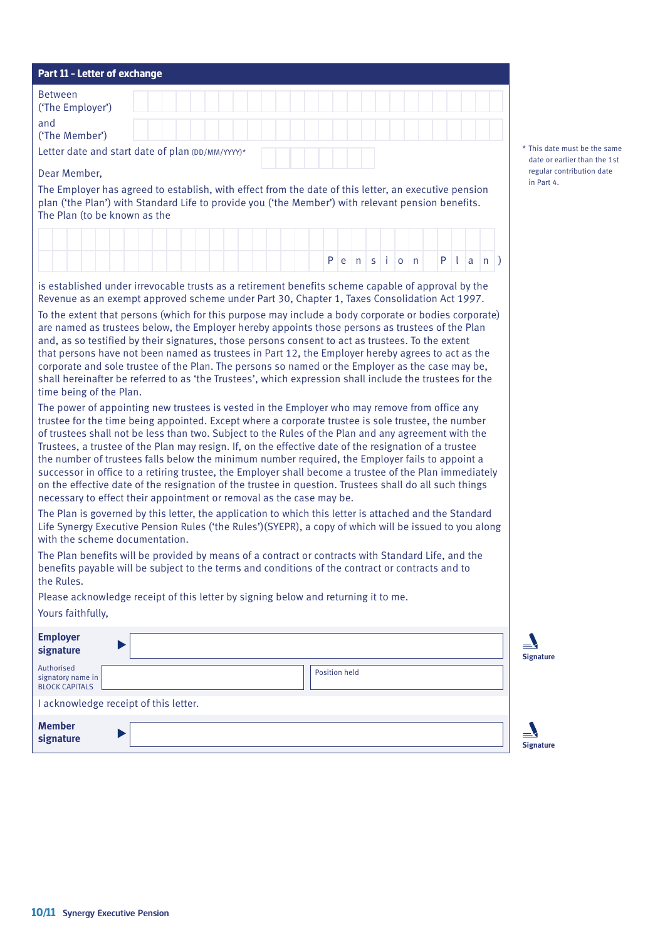| Part 11 - Letter of exchange                                                                                                                                                                                                                                                                                                                                                                                                                                                                                                                                                                                                                                                                                                                                                                                                                                                                                                                                                                                                                                                                                                                                                                                                                                                                     |  |  |  |                      |                   |  |     |                     |  |
|--------------------------------------------------------------------------------------------------------------------------------------------------------------------------------------------------------------------------------------------------------------------------------------------------------------------------------------------------------------------------------------------------------------------------------------------------------------------------------------------------------------------------------------------------------------------------------------------------------------------------------------------------------------------------------------------------------------------------------------------------------------------------------------------------------------------------------------------------------------------------------------------------------------------------------------------------------------------------------------------------------------------------------------------------------------------------------------------------------------------------------------------------------------------------------------------------------------------------------------------------------------------------------------------------|--|--|--|----------------------|-------------------|--|-----|---------------------|--|
| <b>Between</b><br>('The Employer')                                                                                                                                                                                                                                                                                                                                                                                                                                                                                                                                                                                                                                                                                                                                                                                                                                                                                                                                                                                                                                                                                                                                                                                                                                                               |  |  |  |                      |                   |  |     |                     |  |
| and<br>('The Member')                                                                                                                                                                                                                                                                                                                                                                                                                                                                                                                                                                                                                                                                                                                                                                                                                                                                                                                                                                                                                                                                                                                                                                                                                                                                            |  |  |  |                      |                   |  |     |                     |  |
| Letter date and start date of plan (DD/MM/YYYY)*                                                                                                                                                                                                                                                                                                                                                                                                                                                                                                                                                                                                                                                                                                                                                                                                                                                                                                                                                                                                                                                                                                                                                                                                                                                 |  |  |  |                      |                   |  |     |                     |  |
| Dear Member,                                                                                                                                                                                                                                                                                                                                                                                                                                                                                                                                                                                                                                                                                                                                                                                                                                                                                                                                                                                                                                                                                                                                                                                                                                                                                     |  |  |  |                      |                   |  |     |                     |  |
| The Employer has agreed to establish, with effect from the date of this letter, an executive pension<br>plan ('the Plan') with Standard Life to provide you ('the Member') with relevant pension benefits.<br>The Plan (to be known as the                                                                                                                                                                                                                                                                                                                                                                                                                                                                                                                                                                                                                                                                                                                                                                                                                                                                                                                                                                                                                                                       |  |  |  |                      |                   |  |     |                     |  |
|                                                                                                                                                                                                                                                                                                                                                                                                                                                                                                                                                                                                                                                                                                                                                                                                                                                                                                                                                                                                                                                                                                                                                                                                                                                                                                  |  |  |  |                      |                   |  |     |                     |  |
|                                                                                                                                                                                                                                                                                                                                                                                                                                                                                                                                                                                                                                                                                                                                                                                                                                                                                                                                                                                                                                                                                                                                                                                                                                                                                                  |  |  |  | P   e   n            | $s \mid o \mid n$ |  | Pla | $\lfloor n \rfloor$ |  |
| is established under irrevocable trusts as a retirement benefits scheme capable of approval by the<br>Revenue as an exempt approved scheme under Part 30, Chapter 1, Taxes Consolidation Act 1997.                                                                                                                                                                                                                                                                                                                                                                                                                                                                                                                                                                                                                                                                                                                                                                                                                                                                                                                                                                                                                                                                                               |  |  |  |                      |                   |  |     |                     |  |
| are named as trustees below, the Employer hereby appoints those persons as trustees of the Plan<br>and, as so testified by their signatures, those persons consent to act as trustees. To the extent<br>that persons have not been named as trustees in Part 12, the Employer hereby agrees to act as the<br>corporate and sole trustee of the Plan. The persons so named or the Employer as the case may be,<br>shall hereinafter be referred to as 'the Trustees', which expression shall include the trustees for the<br>time being of the Plan.                                                                                                                                                                                                                                                                                                                                                                                                                                                                                                                                                                                                                                                                                                                                              |  |  |  |                      |                   |  |     |                     |  |
| The power of appointing new trustees is vested in the Employer who may remove from office any<br>trustee for the time being appointed. Except where a corporate trustee is sole trustee, the number<br>of trustees shall not be less than two. Subject to the Rules of the Plan and any agreement with the<br>Trustees, a trustee of the Plan may resign. If, on the effective date of the resignation of a trustee<br>the number of trustees falls below the minimum number required, the Employer fails to appoint a<br>successor in office to a retiring trustee, the Employer shall become a trustee of the Plan immediately<br>on the effective date of the resignation of the trustee in question. Trustees shall do all such things<br>necessary to effect their appointment or removal as the case may be.<br>The Plan is governed by this letter, the application to which this letter is attached and the Standard<br>Life Synergy Executive Pension Rules ('the Rules')(SYEPR), a copy of which will be issued to you along<br>with the scheme documentation.<br>The Plan benefits will be provided by means of a contract or contracts with Standard Life, and the<br>benefits payable will be subject to the terms and conditions of the contract or contracts and to<br>the Rules. |  |  |  |                      |                   |  |     |                     |  |
| Please acknowledge receipt of this letter by signing below and returning it to me.<br>Yours faithfully,                                                                                                                                                                                                                                                                                                                                                                                                                                                                                                                                                                                                                                                                                                                                                                                                                                                                                                                                                                                                                                                                                                                                                                                          |  |  |  |                      |                   |  |     |                     |  |
| <b>Employer</b><br>signature                                                                                                                                                                                                                                                                                                                                                                                                                                                                                                                                                                                                                                                                                                                                                                                                                                                                                                                                                                                                                                                                                                                                                                                                                                                                     |  |  |  |                      |                   |  |     |                     |  |
| Authorised<br>signatory name in<br><b>BLOCK CAPITALS</b>                                                                                                                                                                                                                                                                                                                                                                                                                                                                                                                                                                                                                                                                                                                                                                                                                                                                                                                                                                                                                                                                                                                                                                                                                                         |  |  |  | <b>Position held</b> |                   |  |     |                     |  |
| I acknowledge receipt of this letter.                                                                                                                                                                                                                                                                                                                                                                                                                                                                                                                                                                                                                                                                                                                                                                                                                                                                                                                                                                                                                                                                                                                                                                                                                                                            |  |  |  |                      |                   |  |     |                     |  |
|                                                                                                                                                                                                                                                                                                                                                                                                                                                                                                                                                                                                                                                                                                                                                                                                                                                                                                                                                                                                                                                                                                                                                                                                                                                                                                  |  |  |  |                      |                   |  |     |                     |  |

his date must be the same date or earlier than the 1st egular contribution date i Part 4.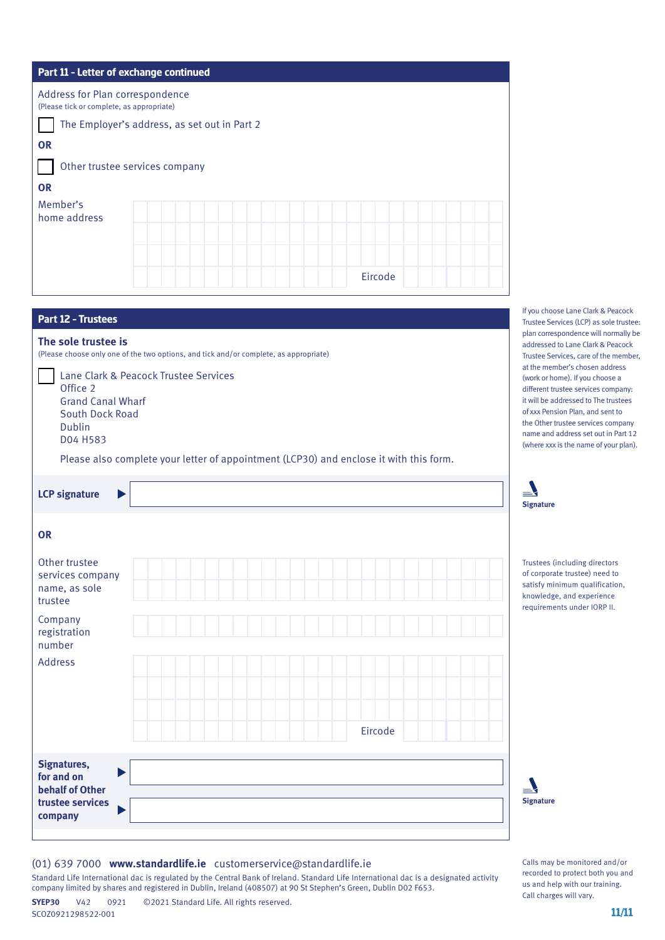| Part 11 - Letter of exchange continued                                       |  |
|------------------------------------------------------------------------------|--|
| Address for Plan correspondence<br>(Please tick or complete, as appropriate) |  |
| The Employer's address, as set out in Part 2                                 |  |
| <b>OR</b>                                                                    |  |
| Other trustee services company                                               |  |
| <b>OR</b>                                                                    |  |
| Member's<br>home address                                                     |  |
|                                                                              |  |
|                                                                              |  |
| Eircode                                                                      |  |
|                                                                              |  |

| Part 12 - Trustees                                                                                                                                                                                                                                                                                                                      |
|-----------------------------------------------------------------------------------------------------------------------------------------------------------------------------------------------------------------------------------------------------------------------------------------------------------------------------------------|
| The sole trustee is<br>(Please choose only one of the two options, and tick and/or complete, as appropriate)<br>Lane Clark & Peacock Trustee Services<br>Office 2<br><b>Grand Canal Wharf</b><br>South Dock Road<br><b>Dublin</b><br>D04 H583<br>Please also complete your letter of appointment (LCP30) and enclose it with this form. |
| <b>LCP signature</b><br>$\blacktriangleright$                                                                                                                                                                                                                                                                                           |
| <b>OR</b><br>Other trustee<br>services company<br>name, as sole<br>trustee<br>Company<br>registration<br>number<br><b>Address</b><br>Eircode                                                                                                                                                                                            |
| Signatures,<br>Þ<br>for and on<br><b>behalf of Other</b><br>trustee services<br>company                                                                                                                                                                                                                                                 |

If you choose Lane Clark & Peacock Trustee Services (LCP) as sole trustee: plan correspondence will normally be addressed to Lane Clark & Peacock Trustee Services, care of the member, at the member's chosen address (work or home). If you choose a different trustee services company: it will be addressed to The trustees of xxx Pension Plan, and sent to the Other trustee services company name and address set out in Part 12 (where xxx is the name of your plan).



Trustees (including directors of corporate trustee) need to satisfy minimum qualification, knowledge, and experience requirements under IORP II.

| <b>Signature</b> |
|------------------|

Calls may be monitored and/or recorded to protect both you and us and help with our training. Call charges will vary.

## (01) 639 7000 **www.standardlife.ie** customerservice@standardlife.ie

Standard Life International dac is regulated by the Central Bank of Ireland. Standard Life International dac is a designated activity company limited by shares and registered in Dublin, Ireland (408507) at 90 St Stephen's Green, Dublin D02 F653.